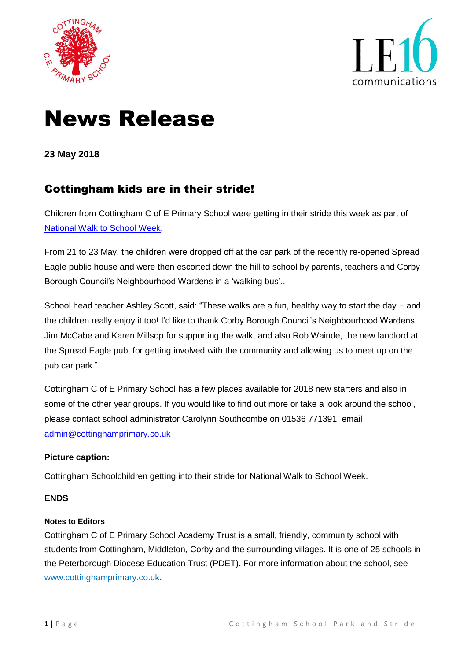



# News Release

**23 May 2018**

## Cottingham kids are in their stride!

Children from Cottingham C of E Primary School were getting in their stride this week as part of [National Walk to School Week.](https://www.livingstreets.org.uk/what-we-do/projects/walk-to-school-week)

From 21 to 23 May, the children were dropped off at the car park of the recently re-opened Spread Eagle public house and were then escorted down the hill to school by parents, teachers and Corby Borough Council's Neighbourhood Wardens in a 'walking bus'..

School head teacher Ashley Scott, said: "These walks are a fun, healthy way to start the day - and the children really enjoy it too! I'd like to thank Corby Borough Council's Neighbourhood Wardens Jim McCabe and Karen Millsop for supporting the walk, and also Rob Wainde, the new landlord at the Spread Eagle pub, for getting involved with the community and allowing us to meet up on the pub car park."

Cottingham C of E Primary School has a few places available for 2018 new starters and also in some of the other year groups. If you would like to find out more or take a look around the school, please contact school administrator Carolynn Southcombe on 01536 771391, email [admin@cottinghamprimary.co.uk](mailto:admin@cottinghamprimary.co.uk)

#### **Picture caption:**

Cottingham Schoolchildren getting into their stride for National Walk to School Week.

#### **ENDS**

#### **Notes to Editors**

Cottingham C of E Primary School Academy Trust is a small, friendly, community school with students from Cottingham, Middleton, Corby and the surrounding villages. It is one of 25 schools in the Peterborough Diocese Education Trust (PDET). For more information about the school, see [www.cottinghamprimary.co.uk.](http://www.cottinghamprimary.co.uk/)